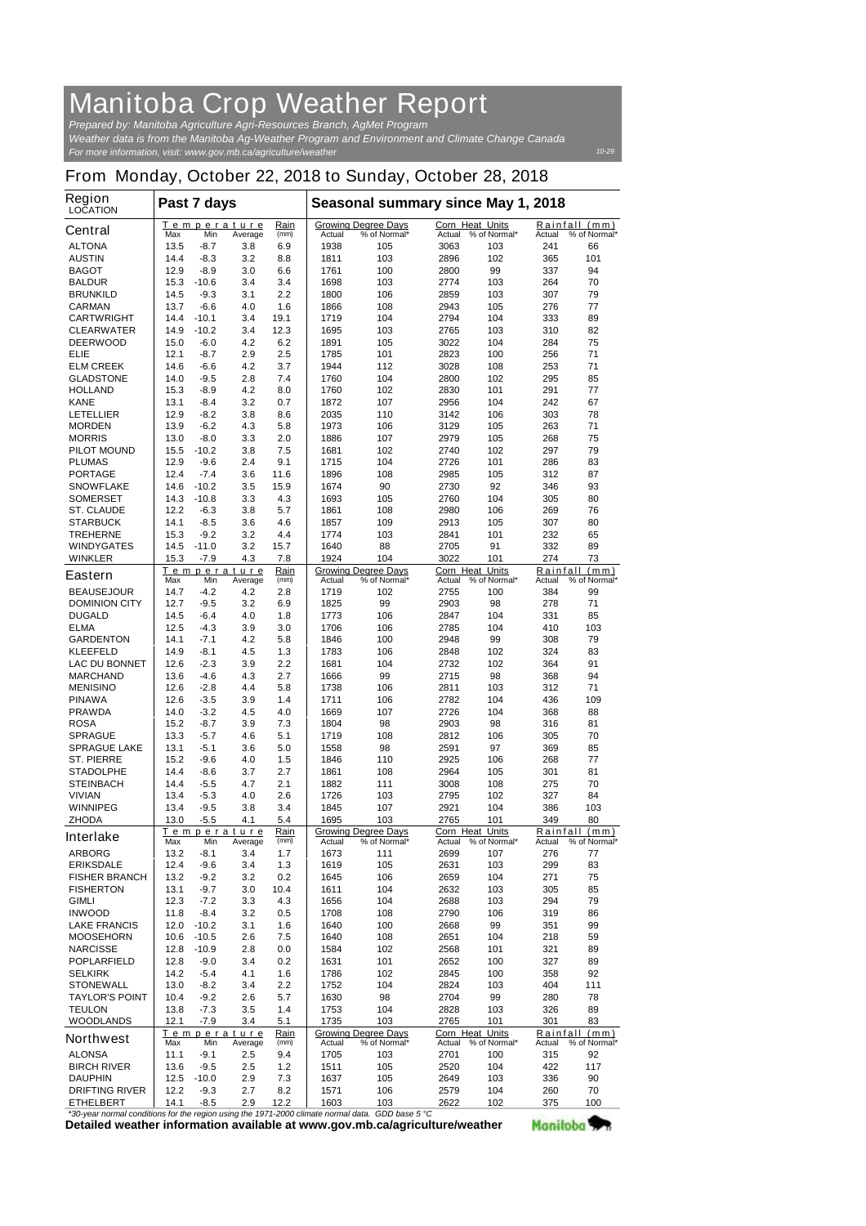## **Manitoba Crop Weather Report**

*For more information, visit: www.gov.mb.ca/agriculture/weather Prepared by: Manitoba Agriculture Agri-Resources Branch, AgMet Program Weather data is from the Manitoba Ag-Weather Program and Environment and Climate Change Canada*

*10-29*

## **From Monday, October 22, 2018 to Sunday, October 28, 2018**

| Region<br><b>LOCATION</b>                         | Past 7 days  |                   |                                       |              | Seasonal summary since May 1, 2018 |                                            |                                               |              |               |                               |
|---------------------------------------------------|--------------|-------------------|---------------------------------------|--------------|------------------------------------|--------------------------------------------|-----------------------------------------------|--------------|---------------|-------------------------------|
| <b>Central</b>                                    | Max          | Min               | Temperature<br>Average                | Rain<br>(mm) | Actual                             | <b>Growing Degree Days</b><br>% of Normal* | <b>Corn Heat Units</b><br>Actual % of Normal* |              | Actual        | Rainfall (mm)<br>% of Normal* |
| <b>ALTONA</b>                                     | 13.5         | -8.7              | 3.8                                   | 6.9          | 1938                               | 105                                        | 3063                                          | 103          | 241           | 66                            |
| <b>AUSTIN</b>                                     | 14.4         | $-8.3$            | 3.2                                   | 8.8          | 1811                               | 103                                        | 2896                                          | 102          | 365           | 101                           |
| <b>BAGOT</b><br><b>BALDUR</b>                     | 12.9<br>15.3 | -8.9<br>$-10.6$   | 3.0<br>3.4                            | 6.6<br>3.4   | 1761<br>1698                       | 100<br>103                                 | 2800<br>2774                                  | 99<br>103    | 337<br>264    | 94<br>70                      |
| <b>BRUNKILD</b>                                   | 14.5         | $-9.3$            | 3.1                                   | 2.2          | 1800                               | 106                                        | 2859                                          | 103          | 307           | 79                            |
| <b>CARMAN</b>                                     | 13.7         | $-6.6$            | 4.0                                   | 1.6          | 1866                               | 108                                        | 2943                                          | 105          | 276           | 77                            |
| <b>CARTWRIGHT</b>                                 | 14.4         | $-10.1$           | 3.4                                   | 19.1         | 1719                               | 104                                        | 2794                                          | 104          | 333           | 89                            |
| <b>CLEARWATER</b><br><b>DEERWOOD</b>              | 14.9         | $-10.2$           | 3.4                                   | 12.3         | 1695                               | 103                                        | 2765                                          | 103          | 310<br>284    | 82<br>75                      |
| ELIE                                              | 15.0<br>12.1 | -6.0<br>$-8.7$    | 4.2<br>2.9                            | 6.2<br>2.5   | 1891<br>1785                       | 105<br>101                                 | 3022<br>2823                                  | 104<br>100   | 256           | 71                            |
| <b>ELM CREEK</b>                                  | 14.6         | $-6.6$            | 4.2                                   | 3.7          | 1944                               | 112                                        | 3028                                          | 108          | 253           | 71                            |
| <b>GLADSTONE</b>                                  | 14.0         | $-9.5$            | 2.8                                   | 7.4          | 1760                               | 104                                        | 2800                                          | 102          | 295           | 85                            |
| <b>HOLLAND</b>                                    | 15.3         | $-8.9$            | 4.2                                   | 8.0          | 1760                               | 102                                        | 2830                                          | 101          | 291           | 77                            |
| <b>KANE</b>                                       | 13.1         | $-8.4$            | 3.2                                   | 0.7          | 1872                               | 107                                        | 2956                                          | 104          | 242           | 67                            |
| <b>LETELLIER</b><br><b>MORDEN</b>                 | 12.9<br>13.9 | -8.2<br>$-6.2$    | 3.8<br>4.3                            | 8.6<br>5.8   | 2035<br>1973                       | 110<br>106                                 | 3142<br>3129                                  | 106<br>105   | 303<br>263    | 78<br>71                      |
| <b>MORRIS</b>                                     | 13.0         | $-8.0$            | 3.3                                   | 2.0          | 1886                               | 107                                        | 2979                                          | 105          | 268           | 75                            |
| <b>PILOT MOUND</b>                                | 15.5         | $-10.2$           | 3.8                                   | 7.5          | 1681                               | 102                                        | 2740                                          | 102          | 297           | 79                            |
| <b>PLUMAS</b>                                     | 12.9         | $-9.6$            | 2.4                                   | 9.1          | 1715                               | 104                                        | 2726                                          | 101          | 286           | 83                            |
| <b>PORTAGE</b>                                    | 12.4         | $-7.4$            | 3.6                                   | 11.6         | 1896                               | 108                                        | 2985                                          | 105          | 312           | 87                            |
| <b>SNOWFLAKE</b>                                  | 14.6         | $-10.2$           | 3.5<br>3.3                            | 15.9         | 1674                               | 90                                         | 2730                                          | 92           | 346           | 93                            |
| <b>SOMERSET</b><br><b>ST. CLAUDE</b>              | 14.3<br>12.2 | $-10.8$<br>$-6.3$ | 3.8                                   | 4.3<br>5.7   | 1693<br>1861                       | 105<br>108                                 | 2760<br>2980                                  | 104<br>106   | 305<br>269    | 80<br>76                      |
| <b>STARBUCK</b>                                   | 14.1         | $-8.5$            | 3.6                                   | 4.6          | 1857                               | 109                                        | 2913                                          | 105          | 307           | 80                            |
| <b>TREHERNE</b>                                   | 15.3         | -9.2              | 3.2                                   | 4.4          | 1774                               | 103                                        | 2841                                          | 101          | 232           | 65                            |
| <b>WINDYGATES</b>                                 | 14.5         | $-11.0$           | 3.2                                   | 15.7         | 1640                               | 88                                         | 2705                                          | 91           | 332           | 89                            |
| <b>WINKLER</b>                                    | 15.3         | $-7.9$            | 4.3                                   | 7.8          | 1924                               | 104                                        | 3022                                          | 101          | 274           | 73                            |
| <b>Eastern</b>                                    | Max          | Min               | Temperature<br>Average                | Rain<br>(mm) | Actual                             | <b>Growing Degree Days</b><br>% of Normal* | <b>Corn Heat Units</b><br>Actual % of Normal* |              | Actual        | Rainfall (mm)<br>% of Normal* |
| <b>BEAUSEJOUR</b>                                 | 14.7         | -4.2              | 4.2                                   | 2.8          | 1719                               | 102                                        | 2755                                          | 100          | 384           | 99                            |
| <b>DOMINION CITY</b>                              | 12.7         | -9.5              | 3.2                                   | 6.9          | 1825                               | 99                                         | 2903                                          | 98           | 278           | 71                            |
| <b>DUGALD</b>                                     | 14.5         | $-6.4$            | 4.0                                   | 1.8          | 1773                               | 106                                        | 2847                                          | 104          | 331           | 85                            |
| <b>ELMA</b><br><b>GARDENTON</b>                   | 12.5<br>14.1 | $-4.3$<br>-7.1    | 3.9<br>4.2                            | 3.0<br>5.8   | 1706<br>1846                       | 106<br>100                                 | 2785<br>2948                                  | 104<br>99    | 410<br>308    | 103<br>79                     |
| <b>KLEEFELD</b>                                   | 14.9         | $-8.1$            | 4.5                                   | 1.3          | 1783                               | 106                                        | 2848                                          | 102          | 324           | 83                            |
| <b>LAC DU BONNET</b>                              | 12.6         | $-2.3$            | 3.9                                   | 2.2          | 1681                               | 104                                        | 2732                                          | 102          | 364           | 91                            |
| <b>MARCHAND</b>                                   | 13.6         | -4.6              | 4.3                                   | 2.7          | 1666                               | 99                                         | 2715                                          | 98           | 368           | 94                            |
| <b>MENISINO</b>                                   | 12.6         | -2.8              | 4.4                                   | 5.8          | 1738                               | 106                                        | 2811                                          | 103          | 312           | 71                            |
| <b>PINAWA</b>                                     | 12.6         | $-3.5$            | 3.9<br>4.5                            | 1.4          | 1711                               | 106                                        | 2782                                          | 104          | 436           | 109<br>88                     |
| <b>PRAWDA</b><br><b>ROSA</b>                      | 14.0<br>15.2 | -3.2<br>$-8.7$    | 3.9                                   | 4.0<br>7.3   | 1669<br>1804                       | 107<br>98                                  | 2726<br>2903                                  | 104<br>98    | 368<br>316    | 81                            |
| <b>SPRAGUE</b>                                    | 13.3         | -5.7              | 4.6                                   | 5.1          | 1719                               | 108                                        | 2812                                          | 106          | 305           | 70                            |
| <b>SPRAGUE LAKE</b>                               | 13.1         | $-5.1$            | 3.6                                   | 5.0          | 1558                               | 98                                         | 2591                                          | 97           | 369           | 85                            |
| <b>ST. PIERRE</b>                                 | 15.2         | -9.6              | 4.0                                   | 1.5          | 1846                               | 110                                        | 2925                                          | 106          | 268           | 77                            |
| <b>STADOLPHE</b>                                  | 14.4         | -8.6              | 3.7                                   | 2.7          | 1861                               | 108                                        | 2964                                          | 105          | 301           | 81                            |
| <b>STEINBACH</b><br><b>VIVIAN</b>                 | 14.4<br>13.4 | -5.5<br>-5.3      | 4.7<br>4.0                            | 2.1<br>2.6   | 1882<br>1726                       | 111<br>103                                 | 3008<br>2795                                  | 108<br>102   | 275<br>327    | 70<br>84                      |
| <b>WINNIPEG</b>                                   | 13.4         | -9.5              | 3.8                                   | 3.4          | 1845                               | 107                                        | 2921                                          | 104          | 386           | 103                           |
| <b>ZHODA</b>                                      | 13.0         | -5.5              | 4.1                                   | 5.4          | 1695                               | 103                                        | 2765                                          | 101          | 349           | 80                            |
| <b>Interlake</b>                                  |              |                   | Temperature                           | Rain         |                                    | <b>Growing Degree Days</b>                 | <b>Corn Heat Units</b>                        |              |               | Rainfall (mm)                 |
| <b>ARBORG</b>                                     | Max<br>13.2  | Min<br>-8.1       | Average<br>3.4                        | (mm)<br>1.7  | Actual<br>1673                     | % of Normal*<br>111                        | Actual % of Normal*<br>2699                   | 107          | Actual<br>276 | % of Normal*<br>77            |
| <b>ERIKSDALE</b>                                  | 12.4         | -9.6              | 3.4                                   | 1.3          | 1619                               | 105                                        | 2631                                          | 103          | 299           | 83                            |
| <b>FISHER BRANCH</b>                              | 13.2         | -9.2              | 3.2                                   | 0.2          | 1645                               | 106                                        | 2659                                          | 104          | 271           | 75                            |
| <b>FISHERTON</b>                                  | 13.1         | -9.7              | 3.0                                   | 10.4         | 1611                               | 104                                        | 2632                                          | 103          | 305           | 85                            |
| <b>GIMLI</b>                                      | 12.3         | -7.2              | 3.3                                   | 4.3          | 1656                               | 104                                        | 2688                                          | 103          | 294           | 79                            |
| <b>INWOOD</b><br><b>LAKE FRANCIS</b>              | 11.8<br>12.0 | -8.4<br>$-10.2$   | 3.2<br>3.1                            | 0.5<br>1.6   | 1708<br>1640                       | 108<br>100                                 | 2790<br>2668                                  | 106<br>99    | 319<br>351    | 86<br>99                      |
| <b>MOOSEHORN</b>                                  | 10.6         | $-10.5$           | 2.6                                   | 7.5          | 1640                               | 108                                        | 2651                                          | 104          | 218           | 59                            |
| <b>NARCISSE</b>                                   | 12.8         | -10.9             | 2.8                                   | 0.0          | 1584                               | 102                                        | 2568                                          | 101          | 321           | 89                            |
| <b>POPLARFIELD</b>                                | 12.8         | -9.0              | 3.4                                   | 0.2          | 1631                               | 101                                        | 2652                                          | 100          | 327           | 89                            |
| <b>SELKIRK</b>                                    | 14.2         | $-5.4$            | 4.1                                   | 1.6          | 1786                               | 102                                        | 2845                                          | 100          | 358           | 92                            |
| <b>STONEWALL</b>                                  | 13.0         | $-8.2$            | 3.4                                   | 2.2          | 1752                               | 104                                        | 2824                                          | 103          | 404           | 111                           |
| <b>TAYLOR'S POINT</b><br><b>TEULON</b>            | 10.4<br>13.8 | -9.2<br>-7.3      | 2.6<br>3.5                            | 5.7<br>1.4   | 1630<br>1753                       | 98<br>104                                  | 2704<br>2828                                  | 99<br>103    | 280<br>326    | 78<br>89                      |
| <b>WOODLANDS</b>                                  | 12.1         | $-7.9$            | 3.4                                   | 5.1          | 1735                               | 103                                        | 2765                                          | 101          | 301           | 83                            |
| <b>Northwest</b>                                  |              |                   | <u>Temperature</u>                    | Rain         |                                    | <b>Growing Degree Days</b>                 | <b>Corn Heat Units</b>                        |              |               | Rainfall (mm)                 |
|                                                   | Max          | Min               | Average                               | (mm)         | Actual                             | % of Normal*                               | Actual                                        | % of Normal* | Actual        | % of Normal*                  |
| <b>ALONSA</b><br><b>BIRCH RIVER</b>               | 11.1<br>13.6 | -9.1<br>-9.5      | 2.5<br>2.5                            | 9.4<br>1.2   | 1705<br>1511                       | 103<br>105                                 | 2701<br>2520                                  | 100<br>104   | 315<br>422    | 92<br>117                     |
| <b>DAUPHIN</b>                                    | 12.5         | $-10.0$           | 2.9                                   | 7.3          | 1637                               | 105                                        | 2649                                          | 103          | 336           | 90                            |
| <b>DRIFTING RIVER</b>                             | 12.2         | $-9.3$            | 2.7                                   | 8.2          | 1571                               | 106                                        | 2579                                          | 104          | 260           | 70                            |
| <b>ETHELBERT</b><br>mal conditions for the region | 14.1         | -8.5              | 2.9<br>uning the 1071 2000 elimete pr | 12.2         | 1603<br>mol doto                   | 103<br>$CDD$ hoog $E \circ C$              | 2622                                          | 102          | 375           | 100                           |

**Detailed weather information available at www.gov.mb.ca/agriculture/weather** *\*30-year normal conditions for the region using the 1971-2000 climate normal data. GDD base 5 °C* Manitoba<sup>y</sup>